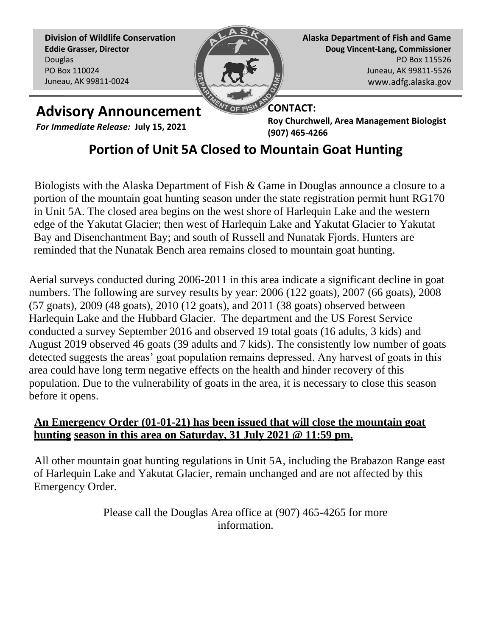**Division of Wildlife Conservation Eddie Grasser, Director** Douglas PO Box 110024 Juneau, AK 99811-0024



**Alaska Department of Fish and Game Doug Vincent-Lang, Commissioner** PO Box 115526 Juneau, AK 99811-5526 www.adfg.alaska.gov

## **Advisory Announcement**

*For Immediate Release:* **July 15, 2021**

**CONTACT: Roy Churchwell, Area Management Biologist (907) 465-4266** 

## **Portion of Unit 5A Closed to Mountain Goat Hunting**

Biologists with the Alaska Department of Fish & Game in Douglas announce a closure to a portion of the mountain goat hunting season under the state registration permit hunt RG170 in Unit 5A. The closed area begins on the west shore of Harlequin Lake and the western edge of the Yakutat Glacier; then west of Harlequin Lake and Yakutat Glacier to Yakutat Bay and Disenchantment Bay; and south of Russell and Nunatak Fjords. Hunters are reminded that the Nunatak Bench area remains closed to mountain goat hunting.

Aerial surveys conducted during 2006-2011 in this area indicate a significant decline in goat numbers. The following are survey results by year: 2006 (122 goats), 2007 (66 goats), 2008 (57 goats), 2009 (48 goats), 2010 (12 goats), and 2011 (38 goats) observed between Harlequin Lake and the Hubbard Glacier. The department and the US Forest Service conducted a survey September 2016 and observed 19 total goats (16 adults, 3 kids) and August 2019 observed 46 goats (39 adults and 7 kids). The consistently low number of goats detected suggests the areas' goat population remains depressed. Any harvest of goats in this area could have long term negative effects on the health and hinder recovery of this population. Due to the vulnerability of goats in the area, it is necessary to close this season before it opens.

## **An Emergency Order (01-01-21) has been issued that will close the mountain goat hunting season in this area on Saturday, 31 July 2021 @ 11:59 pm.**

All other mountain goat hunting regulations in Unit 5A, including the Brabazon Range east of Harlequin Lake and Yakutat Glacier, remain unchanged and are not affected by this Emergency Order.

> Please call the Douglas Area office at (907) 465-4265 for more information.